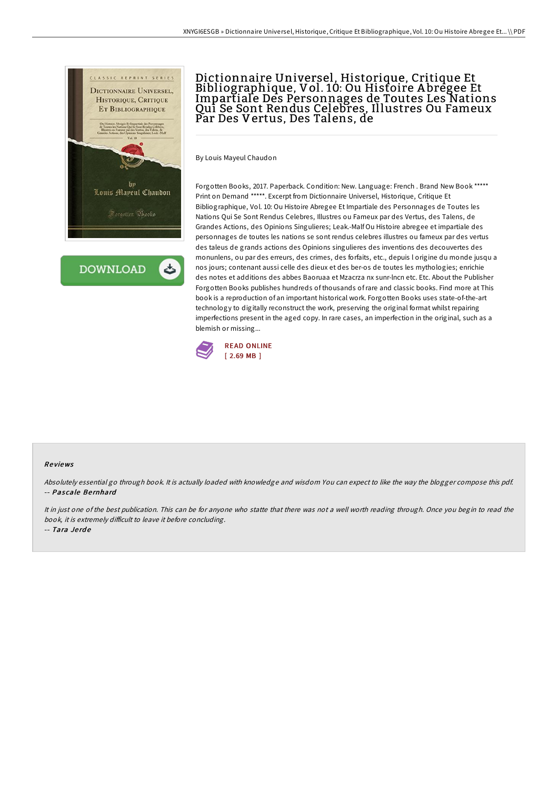

**DOWNLOAD** 

## Dictionnaire Universel, Historique, Critique Et Bibliographique, Vol. 10: Ou Histoire A bregee Et Impartiale Des Personnages de Toutes Les Nations Qui Se Sont Rendus Celebres, Illustres Ou Fameux Par Des Vertus, Des Talens, de

By Louis Mayeul Chaudon

Forgotten Books, 2017. Paperback. Condition: New. Language: French . Brand New Book \*\*\*\*\* Print on Demand \*\*\*\*\*. Excerpt from Dictionnaire Universel, Historique, Critique Et Bibliographique, Vol. 10: Ou Histoire Abregee Et Impartiale des Personnages de Toutes les Nations Qui Se Sont Rendus Celebres, Illustres ou Fameux par des Vertus, des Talens, de Grandes Actions, des Opinions Singulieres; Leak.-Malf Ou Histoire abregee et impartiale des personnages de toutes les nations se sont rendus celebres illustres ou fameux par des vertus des taleus de grands actions des Opinions singulieres des inventions des decouvertes des monunlens, ou par des erreurs, des crimes, des forfaits, etc., depuis l origine du monde jusqu a nos jours; contenant aussi celle des dieux et des ber-os de toutes les mythologies; enrichie des notes et additions des abbes Baoruaa et Mzacrza nx sunr-lncn etc. Etc. About the Publisher Forgotten Books publishes hundreds of thousands ofrare and classic books. Find more at This book is a reproduction of an important historical work. Forgotten Books uses state-of-the-art technology to digitally reconstruct the work, preserving the original format whilst repairing imperfections present in the aged copy. In rare cases, an imperfection in the original, such as a blemish or missing...



## Re views

Absolutely essential go through book. It is actually loaded with knowledge and wisdom You can expect to like the way the blogger compose this pdf. -- Pascale Bernhard

It in just one of the best publication. This can be for anyone who statte that there was not <sup>a</sup> well worth reading through. Once you begin to read the book, it is extremely difficult to leave it before concluding.

-- Tara Je rd e